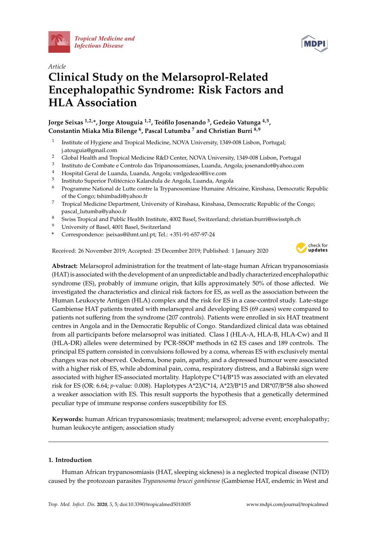



# *Article* **Clinical Study on the Melarsoprol-Related Encephalopathic Syndrome: Risk Factors and HLA Association**

# **Jorge Seixas 1,2,\*, Jorge Atouguia 1,2, Teófilo Josenando <sup>3</sup> , Gedeão Vatunga 4,5 , Constantin Miaka Mia Bilenge <sup>6</sup> , Pascal Lutumba <sup>7</sup> and Christian Burri 8,9**

- 1 Institute of Hygiene and Tropical Medicine, NOVA University, 1349-008 Lisbon, Portugal; j.atouguia@gmail.com
- <sup>2</sup> Global Health and Tropical Medicine R&D Center, NOVA University, 1349-008 Lisbon, Portugal
- 3 Instituto de Combate e Controlo das Tripanossomíases, Luanda, Angola; josenandot@yahoo.com
- <sup>4</sup> Hospital Geral de Luanda, Luanda, Angola; vmlgedeao@live.com
- 5 Instituto Superior Politécnico Kalandula de Angola, Luanda, Angola
- <sup>6</sup> Programme National de Lutte contre la Trypanosomiase Humaine Africaine, Kinshasa, Democratic Republic of the Congo; tshimbadi@yahoo.fr
- <sup>7</sup> Tropical Medicine Department, University of Kinshasa, Kinshasa, Democratic Republic of the Congo; pascal\_lutumba@yahoo.fr
- <sup>8</sup> Swiss Tropical and Public Health Institute, 4002 Basel, Switzerland; christian.burri@swisstph.ch
- <sup>9</sup> University of Basel, 4001 Basel, Switzerland
- **\*** Correspondence: jseixas@ihmt.unl.pt; Tel.: +351-91-657-97-24

Received: 26 November 2019; Accepted: 25 December 2019; Published: 1 January 2020



**Abstract:** Melarsoprol administration for the treatment of late-stage human African trypanosomiasis (HAT) is associated with the development of an unpredictable and badly characterized encephalopathic syndrome (ES), probably of immune origin, that kills approximately 50% of those affected. We investigated the characteristics and clinical risk factors for ES, as well as the association between the Human Leukocyte Antigen (HLA) complex and the risk for ES in a case-control study. Late-stage Gambiense HAT patients treated with melarsoprol and developing ES (69 cases) were compared to patients not suffering from the syndrome (207 controls). Patients were enrolled in six HAT treatment centres in Angola and in the Democratic Republic of Congo. Standardized clinical data was obtained from all participants before melarsoprol was initiated. Class I (HLA-A, HLA-B, HLA-Cw) and II (HLA-DR) alleles were determined by PCR-SSOP methods in 62 ES cases and 189 controls. The principal ES pattern consisted in convulsions followed by a coma, whereas ES with exclusively mental changes was not observed. Oedema, bone pain, apathy, and a depressed humour were associated with a higher risk of ES, while abdominal pain, coma, respiratory distress, and a Babinski sign were associated with higher ES-associated mortality. Haplotype C\*14/B\*15 was associated with an elevated risk for ES (OR: 6.64; *p*-value: 0.008). Haplotypes A\*23/C\*14, A\*23/B\*15 and DR\*07/B\*58 also showed a weaker association with ES. This result supports the hypothesis that a genetically determined peculiar type of immune response confers susceptibility for ES.

**Keywords:** human African trypanosomiasis; treatment; melarsoprol; adverse event; encephalopathy; human leukocyte antigen; association study

# **1. Introduction**

Human African trypanosomiasis (HAT, sleeping sickness) is a neglected tropical disease (NTD) caused by the protozoan parasites *Trypanosoma brucei gambiense* (Gambiense HAT, endemic in West and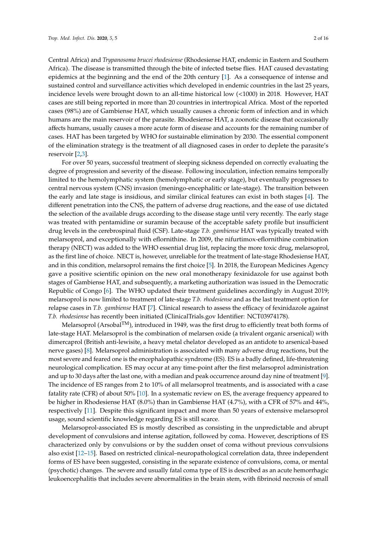Central Africa) and *Trypanosoma brucei rhodesiense* (Rhodesiense HAT, endemic in Eastern and Southern Africa). The disease is transmitted through the bite of infected tsetse flies. HAT caused devastating epidemics at the beginning and the end of the 20th century [\[1\]](#page-13-0). As a consequence of intense and sustained control and surveillance activities which developed in endemic countries in the last 25 years, incidence levels were brought down to an all-time historical low (<1000) in 2018. However, HAT cases are still being reported in more than 20 countries in intertropical Africa. Most of the reported cases (98%) are of Gambiense HAT, which usually causes a chronic form of infection and in which humans are the main reservoir of the parasite. Rhodesiense HAT, a zoonotic disease that occasionally affects humans, usually causes a more acute form of disease and accounts for the remaining number of cases. HAT has been targeted by WHO for sustainable elimination by 2030. The essential component of the elimination strategy is the treatment of all diagnosed cases in order to deplete the parasite's reservoir [\[2,](#page-13-1)[3\]](#page-13-2).

For over 50 years, successful treatment of sleeping sickness depended on correctly evaluating the degree of progression and severity of the disease. Following inoculation, infection remains temporally limited to the hemolymphatic system (hemolymphatic or early stage), but eventually progresses to central nervous system (CNS) invasion (meningo-encephalitic or late-stage). The transition between the early and late stage is insidious, and similar clinical features can exist in both stages [\[4\]](#page-13-3). The different penetration into the CNS, the pattern of adverse drug reactions, and the ease of use dictated the selection of the available drugs according to the disease stage until very recently. The early stage was treated with pentamidine or suramin because of the acceptable safety profile but insufficient drug levels in the cerebrospinal fluid (CSF). Late-stage *T.b. gambiense* HAT was typically treated with melarsoprol, and exceptionally with eflornithine. In 2009, the nifurtimox-eflornithine combination therapy (NECT) was added to the WHO essential drug list, replacing the more toxic drug, melarsoprol, as the first line of choice. NECT is, however, unreliable for the treatment of late-stage Rhodesiense HAT, and in this condition, melarsoprol remains the first choice [\[5\]](#page-13-4). In 2018, the European Medicines Agency gave a positive scientific opinion on the new oral monotherapy fexinidazole for use against both stages of Gambiense HAT, and subsequently, a marketing authorization was issued in the Democratic Republic of Congo [\[6\]](#page-13-5). The WHO updated their treatment guidelines accordingly in August 2019; melarsoprol is now limited to treatment of late-stage *T.b. rhodesiense* and as the last treatment option for relapse cases in *T.b. gambiense* HAT [\[7\]](#page-13-6). Clinical research to assess the efficacy of fexinidazole against *T.b. rhodesiense* has recently been initiated (ClinicalTrials.gov Identifier: NCT03974178).

Melarsoprol (Arsobal<sup>TM</sup>), introduced in 1949, was the first drug to efficiently treat both forms of late-stage HAT. Melarsoprol is the combination of melarsen oxide (a trivalent organic arsenical) with dimercaprol (British anti-lewisite, a heavy metal chelator developed as an antidote to arsenical-based nerve gases) [\[8\]](#page-13-7). Melarsoprol administration is associated with many adverse drug reactions, but the most severe and feared one is the encephalopathic syndrome (ES). ES is a badly defined, life-threatening neurological complication. ES may occur at any time-point after the first melarsoprol administration and up to 30 days after the last one, with a median and peak occurrence around day nine of treatment [\[9\]](#page-13-8). The incidence of ES ranges from 2 to 10% of all melarsoprol treatments, and is associated with a case fatality rate (CFR) of about 50% [\[10\]](#page-13-9). In a systematic review on ES, the average frequency appeared to be higher in Rhodesiense HAT (8.0%) than in Gambiense HAT (4.7%), with a CFR of 57% and 44%, respectively [\[11\]](#page-13-10). Despite this significant impact and more than 50 years of extensive melarsoprol usage, sound scientific knowledge regarding ES is still scarce.

Melarsoprol-associated ES is mostly described as consisting in the unpredictable and abrupt development of convulsions and intense agitation, followed by coma. However, descriptions of ES characterized only by convulsions or by the sudden onset of coma without previous convulsions also exist [\[12–](#page-13-11)[15\]](#page-13-12). Based on restricted clinical–neuropathological correlation data, three independent forms of ES have been suggested, consisting in the separate existence of convulsions, coma, or mental (psychotic) changes. The severe and usually fatal coma type of ES is described as an acute hemorrhagic leukoencephalitis that includes severe abnormalities in the brain stem, with fibrinoid necrosis of small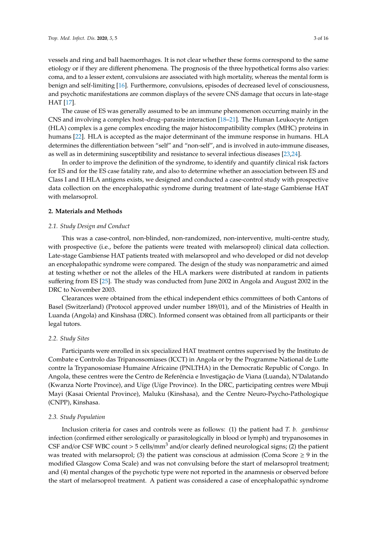vessels and ring and ball haemorrhages. It is not clear whether these forms correspond to the same etiology or if they are different phenomena. The prognosis of the three hypothetical forms also varies: coma, and to a lesser extent, convulsions are associated with high mortality, whereas the mental form is benign and self-limiting [\[16\]](#page-13-13). Furthermore, convulsions, episodes of decreased level of consciousness, and psychotic manifestations are common displays of the severe CNS damage that occurs in late-stage HAT [\[17\]](#page-14-0).

The cause of ES was generally assumed to be an immune phenomenon occurring mainly in the CNS and involving a complex host–drug–parasite interaction [\[18](#page-14-1)[–21\]](#page-14-2). The Human Leukocyte Antigen (HLA) complex is a gene complex encoding the major histocompatibility complex (MHC) proteins in humans [\[22\]](#page-14-3). HLA is accepted as the major determinant of the immune response in humans. HLA determines the differentiation between "self" and "non-self", and is involved in auto-immune diseases, as well as in determining susceptibility and resistance to several infectious diseases [\[23,](#page-14-4)[24\]](#page-14-5).

In order to improve the definition of the syndrome, to identify and quantify clinical risk factors for ES and for the ES case fatality rate, and also to determine whether an association between ES and Class I and II HLA antigens exists, we designed and conducted a case-control study with prospective data collection on the encephalopathic syndrome during treatment of late-stage Gambiense HAT with melarsoprol.

# **2. Materials and Methods**

#### *2.1. Study Design and Conduct*

This was a case-control, non-blinded, non-randomized, non-interventive, multi-centre study, with prospective (i.e., before the patients were treated with melarsoprol) clinical data collection. Late-stage Gambiense HAT patients treated with melarsoprol and who developed or did not develop an encephalopathic syndrome were compared. The design of the study was nonparametric and aimed at testing whether or not the alleles of the HLA markers were distributed at random in patients suffering from ES [\[25\]](#page-14-6). The study was conducted from June 2002 in Angola and August 2002 in the DRC to November 2003.

Clearances were obtained from the ethical independent ethics committees of both Cantons of Basel (Switzerland) (Protocol approved under number 189/01), and of the Ministries of Health in Luanda (Angola) and Kinshasa (DRC). Informed consent was obtained from all participants or their legal tutors.

#### *2.2. Study Sites*

Participants were enrolled in six specialized HAT treatment centres supervised by the Instituto de Combate e Controlo das Tripanossomíases (ICCT) in Angola or by the Programme National de Lutte contre la Trypanosomiase Humaine Africaine (PNLTHA) in the Democratic Republic of Congo. In Angola, these centres were the Centro de Referência e Investigação de Viana (Luanda), N'Dalatando (Kwanza Norte Province), and Uíge (Uíge Province). In the DRC, participating centres were Mbuji Mayi (Kasai Oriental Province), Maluku (Kinshasa), and the Centre Neuro-Psycho-Pathologique (CNPP), Kinshasa.

# *2.3. Study Population*

Inclusion criteria for cases and controls were as follows: (1) the patient had *T. b. gambiense* infection (confirmed either serologically or parasitologically in blood or lymph) and trypanosomes in CSF and/or CSF WBC count  $>$  5 cells/mm<sup>3</sup> and/or clearly defined neurological signs; (2) the patient was treated with melarsoprol; (3) the patient was conscious at admission (Coma Score  $\geq 9$  in the modified Glasgow Coma Scale) and was not convulsing before the start of melarsoprol treatment; and (4) mental changes of the psychotic type were not reported in the anamnesis or observed before the start of melarsoprol treatment. A patient was considered a case of encephalopathic syndrome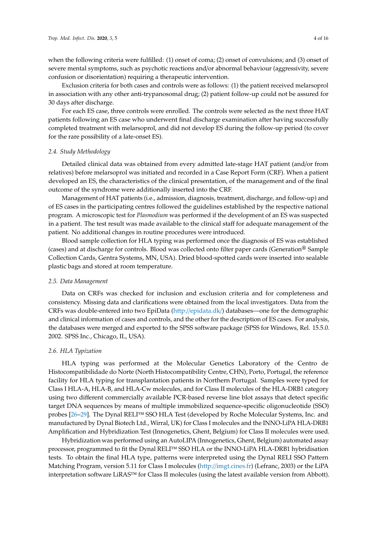when the following criteria were fulfilled: (1) onset of coma; (2) onset of convulsions; and (3) onset of severe mental symptoms, such as psychotic reactions and/or abnormal behaviour (aggressivity, severe confusion or disorientation) requiring a therapeutic intervention.

Exclusion criteria for both cases and controls were as follows: (1) the patient received melarsoprol in association with any other anti-trypanosomal drug; (2) patient follow-up could not be assured for 30 days after discharge.

For each ES case, three controls were enrolled. The controls were selected as the next three HAT patients following an ES case who underwent final discharge examination after having successfully completed treatment with melarsoprol, and did not develop ES during the follow-up period (to cover for the rare possibility of a late-onset ES).

#### *2.4. Study Methodology*

Detailed clinical data was obtained from every admitted late-stage HAT patient (and/or from relatives) before melarsoprol was initiated and recorded in a Case Report Form (CRF). When a patient developed an ES, the characteristics of the clinical presentation, of the management and of the final outcome of the syndrome were additionally inserted into the CRF.

Management of HAT patients (i.e., admission, diagnosis, treatment, discharge, and follow-up) and of ES cases in the participating centres followed the guidelines established by the respective national program. A microscopic test for *Plasmodium* was performed if the development of an ES was suspected in a patient. The test result was made available to the clinical staff for adequate management of the patient. No additional changes in routine procedures were introduced.

Blood sample collection for HLA typing was performed once the diagnosis of ES was established (cases) and at discharge for controls. Blood was collected onto filter paper cards (Generation® Sample Collection Cards, Gentra Systems, MN, USA). Dried blood-spotted cards were inserted into sealable plastic bags and stored at room temperature.

#### *2.5. Data Management*

Data on CRFs was checked for inclusion and exclusion criteria and for completeness and consistency. Missing data and clarifications were obtained from the local investigators. Data from the CRFs was double-entered into two EpiData (http://[epidata.dk](http://epidata.dk/)/) databases—one for the demographic and clinical information of cases and controls, and the other for the description of ES cases. For analysis, the databases were merged and exported to the SPSS software package (SPSS for Windows, Rel. 15.5.0. 2002. SPSS Inc., Chicago, IL, USA).

#### *2.6. HLA Typization*

HLA typing was performed at the Molecular Genetics Laboratory of the Centro de Histocompatibilidade do Norte (North Histocompatibility Centre, CHN), Porto, Portugal, the reference facility for HLA typing for transplantation patients in Northern Portugal. Samples were typed for Class I HLA-A, HLA-B, and HLA-Cw molecules, and for Class II molecules of the HLA-DRB1 category using two different commercially available PCR-based reverse line blot assays that detect specific target DNA sequences by means of multiple immobilized sequence-specific oligonucleotide (SSO) probes [\[26](#page-14-7)[–29\]](#page-14-8). The Dynal RELI™ SSO HLA Test (developed by Roche Molecular Systems, Inc. and manufactured by Dynal Biotech Ltd., Wirral, UK) for Class I molecules and the INNO-LiPA HLA-DRB1 Amplification and Hybridization Test (Innogenetics, Ghent, Belgium) for Class II molecules were used.

Hybridization was performed using an AutoLIPA (Innogenetics, Ghent, Belgium) automated assay processor, programmed to fit the Dynal RELI™ SSO HLA or the INNO-LiPA HLA-DRB1 hybridisation tests. To obtain the final HLA type, patterns were interpreted using the Dynal RELI SSO Pattern Matching Program, version 5.11 for Class I molecules (http://[imgt.cines.fr\)](http://imgt.cines.fr) (Lefranc, 2003) or the LiPA interpretation software LiRAS™ for Class II molecules (using the latest available version from Abbott).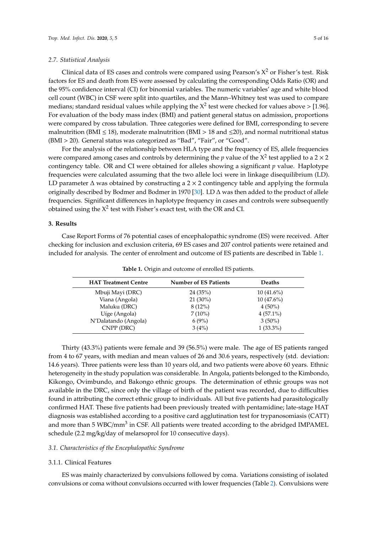#### *2.7. Statistical Analysis*

Clinical data of ES cases and controls were compared using Pearson's  $X^2$  or Fisher's test. Risk factors for ES and death from ES were assessed by calculating the corresponding Odds Ratio (OR) and the 95% confidence interval (CI) for binomial variables. The numeric variables' age and white blood cell count (WBC) in CSF were split into quartiles, and the Mann–Whitney test was used to compare medians; standard residual values while applying the  $X^2$  test were checked for values above > [1.96]. For evaluation of the body mass index (BMI) and patient general status on admission, proportions were compared by cross tabulation. Three categories were defined for BMI, corresponding to severe malnutrition (BMI  $\leq$  18), moderate malnutrition (BMI  $>$  18 and  $\leq$ 20), and normal nutritional status (BMI > 20). General status was categorized as "Bad", "Fair", or "Good".

For the analysis of the relationship between HLA type and the frequency of ES, allele frequencies were compared among cases and controls by determining the  $p$  value of the  $X^2$  test applied to a 2  $\times$  2 contingency table. OR and CI were obtained for alleles showing a significant *p* value. Haplotype frequencies were calculated assuming that the two allele loci were in linkage disequilibrium (LD). LD parameter  $\Delta$  was obtained by constructing a 2  $\times$  2 contingency table and applying the formula originally described by Bodmer and Bodmer in 1970 [\[30\]](#page-14-9). LD ∆ was then added to the product of allele frequencies. Significant differences in haplotype frequency in cases and controls were subsequently obtained using the  $X^2$  test with Fisher's exact test, with the OR and CI.

# **3. Results**

<span id="page-4-0"></span>Case Report Forms of 76 potential cases of encephalopathic syndrome (ES) were received. After checking for inclusion and exclusion criteria, 69 ES cases and 207 control patients were retained and included for analysis. The center of enrolment and outcome of ES patients are described in Table [1.](#page-4-0)

| <b>HAT Treatment Centre</b> | <b>Number of ES Patients</b> | <b>Deaths</b> |
|-----------------------------|------------------------------|---------------|
| Mbuji Mayi (DRC)            | 24(35%)                      | $10(41.6\%)$  |
| Viana (Angola)              | $21(30\%)$                   | $10(47.6\%)$  |
| Maluku (DRC)                | 8(12%)                       | $4(50\%)$     |
| Uíge (Angola)               | $7(10\%)$                    | $4(57.1\%)$   |
| N'Dalatando (Angola)        | 6(9%)                        | $3(50\%)$     |
| CNPP (DRC)                  | 3(4%)                        | $1(33.3\%)$   |

**Table 1.** Origin and outcome of enrolled ES patients.

Thirty (43.3%) patients were female and 39 (56.5%) were male. The age of ES patients ranged from 4 to 67 years, with median and mean values of 26 and 30.6 years, respectively (std. deviation: 14.6 years). Three patients were less than 10 years old, and two patients were above 60 years. Ethnic heterogeneity in the study population was considerable. In Angola, patients belonged to the Kimbondo, Kikongo, Ovimbundo, and Bakongo ethnic groups. The determination of ethnic groups was not available in the DRC, since only the village of birth of the patient was recorded, due to difficulties found in attributing the correct ethnic group to individuals. All but five patients had parasitologically confirmed HAT. These five patients had been previously treated with pentamidine; late-stage HAT diagnosis was established according to a positive card agglutination test for trypanosomiasis (CATT) and more than 5 WBC/mm<sup>3</sup> in CSF. All patients were treated according to the abridged IMPAMEL schedule (2.2 mg/kg/day of melarsoprol for 10 consecutive days).

# *3.1. Characteristics of the Encephalopathic Syndrome*

# 3.1.1. Clinical Features

ES was mainly characterized by convulsions followed by coma. Variations consisting of isolated convulsions or coma without convulsions occurred with lower frequencies (Table [2\)](#page-5-0). Convulsions were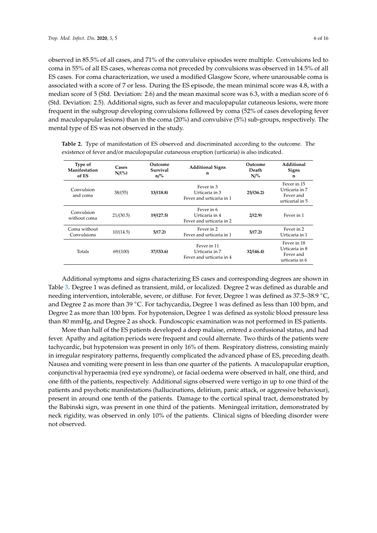observed in 85.5% of all cases, and 71% of the convulsive episodes were multiple. Convulsions led to coma in 55% of all ES cases, whereas coma not preceded by convulsions was observed in 14.5% of all ES cases. For coma characterization, we used a modified Glasgow Score, where unarousable coma is associated with a score of 7 or less. During the ES episode, the mean minimal score was 4.8, with a median score of 5 (Std. Deviation: 2.6) and the mean maximal score was 6.3, with a median score of 6 (Std. Deviation: 2.5). Additional signs, such as fever and maculopapular cutaneous lesions, were more frequent in the subgroup developing convulsions followed by coma (52% of cases developing fever and maculopapular lesions) than in the coma (20%) and convulsive (5%) sub-groups, respectively. The mental type of ES was not observed in the study.

| Type of<br>Manifestation<br>of ES | Cases<br>N/(%) | Outcome<br>Survival<br>$n\frac{9}{6}$ | <b>Additional Signs</b><br>n                              | Outcome<br><b>Death</b><br>$N/\%$ | Additional<br><b>Signs</b><br>n                               |
|-----------------------------------|----------------|---------------------------------------|-----------------------------------------------------------|-----------------------------------|---------------------------------------------------------------|
| Convulsion<br>and coma            | 38/(55)        | 13/(18.8)                             | Fever in 3<br>Urticaria in 3<br>Fever and urticaria in 1  | 25/(36.2)                         | Fever in 15<br>Urticaria in 7<br>Fever and<br>urticarial in 5 |
| Convulsion<br>without coma        | 21/(30.5)      | 19/(27.5)                             | Fever in 6<br>Urticaria in 4<br>Fever and urticaria in 2  | 2/(2.9)                           | Fever in 1                                                    |
| Coma without<br>Convulsions       | 10/(14.5)      | 5/(7.2)                               | Fever in 2<br>Fever and urticaria in 1                    | 5/(7.2)                           | Fever in 2<br>Urticaria in 1                                  |
| Totals                            | 69/(100)       | 37/(53.6)                             | Fever in 11<br>Urticaria in 7<br>Fever and urticaria in 4 | 32/(46.4)                         | Fever in 18<br>Urticaria in 8<br>Fever and<br>urticaria in 6  |

<span id="page-5-0"></span>**Table 2.** Type of manifestation of ES observed and discriminated according to the outcome. The existence of fever and/or maculopapular cutaneous eruption (urticaria) is also indicated.

Additional symptoms and signs characterizing ES cases and corresponding degrees are shown in Table [3.](#page-6-0) Degree 1 was defined as transient, mild, or localized. Degree 2 was defined as durable and needing intervention, intolerable, severe, or diffuse. For fever, Degree 1 was defined as 37.5–38.9 ◦C, and Degree 2 as more than 39 °C. For tachycardia, Degree 1 was defined as less than 100 bpm, and Degree 2 as more than 100 bpm. For hypotension, Degree 1 was defined as systolic blood pressure less than 80 mmHg, and Degree 2 as shock. Fundoscopic examination was not performed in ES patients.

More than half of the ES patients developed a deep malaise, entered a confusional status, and had fever. Apathy and agitation periods were frequent and could alternate. Two thirds of the patients were tachycardic, but hypotension was present in only 16% of them. Respiratory distress, consisting mainly in irregular respiratory patterns, frequently complicated the advanced phase of ES, preceding death. Nausea and vomiting were present in less than one quarter of the patients. A maculopapular eruption, conjunctival hyperaemia (red eye syndrome), or facial oedema were observed in half, one third, and one fifth of the patients, respectively. Additional signs observed were vertigo in up to one third of the patients and psychotic manifestations (hallucinations, delirium, panic attack, or aggressive behaviour), present in around one tenth of the patients. Damage to the cortical spinal tract, demonstrated by the Babinski sign, was present in one third of the patients. Meningeal irritation, demonstrated by neck rigidity, was observed in only 10% of the patients. Clinical signs of bleeding disorder were not observed.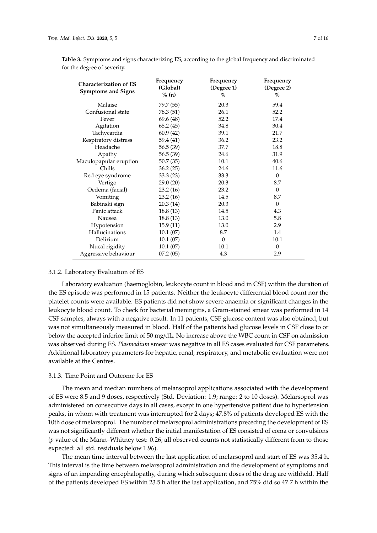| <b>Characterization of ES</b><br><b>Symptoms and Signs</b> | Frequency<br>(Global)<br>% (n) | Frequency<br>(Degree 1)<br>$\%$ | Frequency<br>(Degree 2)<br>$\%$ |  |
|------------------------------------------------------------|--------------------------------|---------------------------------|---------------------------------|--|
| Malaise                                                    | 79.7 (55)                      | 20.3                            | 59.4                            |  |
| Confusional state                                          | 78.3 (51)                      | 26.1                            | 52.2                            |  |
| Fever                                                      | 69.6 (48)                      | 52.2                            | 17.4                            |  |
| Agitation                                                  | 65.2(45)                       | 34.8                            | 30.4                            |  |
| Tachycardia                                                | 60.9(42)                       | 39.1                            | 21.7                            |  |
| Respiratory distress                                       | 59.4 (41)                      | 36.2                            | 23.2                            |  |
| Headache                                                   | 56.5 (39)                      | 37.7                            | 18.8                            |  |
| Apathy                                                     | 56.5(39)                       | 24.6                            | 31.9                            |  |
| Maculopapular eruption                                     | 50.7(35)                       | 10.1                            | 40.6                            |  |
| Chills                                                     | 36.2(25)                       | 24.6                            | 11.6                            |  |
| Red eye syndrome                                           | 33.3(23)                       | 33.3                            | $\Omega$                        |  |
| Vertigo                                                    | 29.0 (20)                      | 20.3                            | 8.7                             |  |
| Oedema (facial)                                            | 23.2(16)                       | 23.2                            | $\Omega$                        |  |
| Vomiting                                                   | 23.2(16)                       | 14.5                            | 8.7                             |  |
| Babinski sign                                              | 20.3(14)                       | 20.3                            | $\theta$                        |  |
| Panic attack                                               | 18.8(13)                       | 14.5                            | 4.3                             |  |
| Nausea                                                     | 18.8(13)                       | 13.0                            | 5.8                             |  |
| Hypotension                                                | 15.9(11)                       | 13.0                            | 2.9                             |  |
| Hallucinations                                             | 10.1(07)                       | 8.7                             | 1.4                             |  |
| Delirium                                                   | 10.1(07)                       | $\theta$                        | 10.1                            |  |
| Nucal rigidity                                             | 10.1(07)                       | 10.1                            | $\theta$                        |  |
| Aggressive behaviour                                       | 07.2(05)                       | 4.3                             | 2.9                             |  |

<span id="page-6-0"></span>**Table 3.** Symptoms and signs characterizing ES, according to the global frequency and discriminated for the degree of severity.

# 3.1.2. Laboratory Evaluation of ES

Laboratory evaluation (haemoglobin, leukocyte count in blood and in CSF) within the duration of the ES episode was performed in 15 patients. Neither the leukocyte differential blood count nor the platelet counts were available. ES patients did not show severe anaemia or significant changes in the leukocyte blood count. To check for bacterial meningitis, a Gram-stained smear was performed in 14 CSF samples, always with a negative result. In 11 patients, CSF glucose content was also obtained, but was not simultaneously measured in blood. Half of the patients had glucose levels in CSF close to or below the accepted inferior limit of 50 mg/dL. No increase above the WBC count in CSF on admission was observed during ES. *Plasmodium* smear was negative in all ES cases evaluated for CSF parameters. Additional laboratory parameters for hepatic, renal, respiratory, and metabolic evaluation were not available at the Centres.

# 3.1.3. Time Point and Outcome for ES

The mean and median numbers of melarsoprol applications associated with the development of ES were 8.5 and 9 doses, respectively (Std. Deviation: 1.9; range: 2 to 10 doses). Melarsoprol was administered on consecutive days in all cases, except in one hypertensive patient due to hypertension peaks, in whom with treatment was interrupted for 2 days; 47.8% of patients developed ES with the 10th dose of melarsoprol. The number of melarsoprol administrations preceding the development of ES was not significantly different whether the initial manifestation of ES consisted of coma or convulsions (*p* value of the Mann–Whitney test: 0.26; all observed counts not statistically different from to those expected: all std. residuals below 1.96).

The mean time interval between the last application of melarsoprol and start of ES was 35.4 h. This interval is the time between melarsoprol administration and the development of symptoms and signs of an impending encephalopathy, during which subsequent doses of the drug are withheld. Half of the patients developed ES within 23.5 h after the last application, and 75% did so 47.7 h within the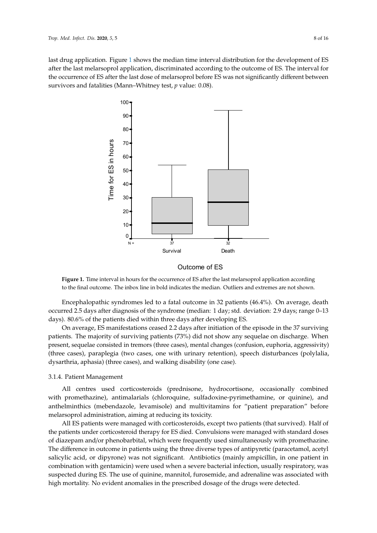<span id="page-7-0"></span>last drug application. Figure [1](#page-7-0) shows the median time interval distribution for the development of ES after the last melarsoprol application, discriminated according to the outcome of ES. The interval for the occurrence of ES after the last dose of melarsoprol before ES was not significantly different between survivors and fatalities (Mann–Whitney test, *p* value: 0.08).



Outcome of ES

to the final outcome. The inbox line in bold indicates the median. Outliers and extremes are not shown. **Figure 1.** Time interval in hours for the occurrence of ES after the last melarsoprol application according

Encephalopathic syndromes led to a fatal outcome in 32 patients (46.4%). On average, death days). 80.6% of the patients died within three days after developing ES. occurred 2.5 days after diagnosis of the syndrome (median: 1 day; std. deviation: 2.9 days; range 0–13

On average, ES manifestations ceased 2.2 days after initiation of the episode in the 37 surviving patients. The majority of surviving patients (73%) did not show any sequelae on discharge. When present, sequelae consisted in tremors (three cases), mental changes (confusion, euphoria, aggressivity) (three cases), paraplegia (two cases, one with urinary retention), speech disturbances (polylalia, dysarthria, aphasia) (three cases), and walking disability (one case).

# 3.1.4. Patient Management

with promethazine), antimalarials (chloroquine, sulfadoxine-pyrimethamine, or quinine), and anthelminthics (mebendazole, levamisole) and multivitamins for "patient preparation" before melarsoprol administration, aiming at reducing its toxicity. All centres used corticosteroids (prednisone, hydrocortisone, occasionally combined

All ES patients were managed with corticosteroids, except two patients (that survived). Half of the patients under corticosteroid therapy for ES died. Convulsions were managed with standard doses of diazepam and/or phenobarbital, which were frequently used simultaneously with promethazine. The difference in outcome in patients using the three diverse types of antipyretic (paracetamol, acetyl salicylic acid, or dipyrone) was not significant. Antibiotics (mainly ampicillin, in one patient in combination with gentamicin) were used when a severe bacterial infection, usually respiratory, was suspected during ES. The use of quinine, mannitol, furosemide, and adrenaline was associated with high mortality. No evident anomalies in the prescribed dosage of the drugs were detected.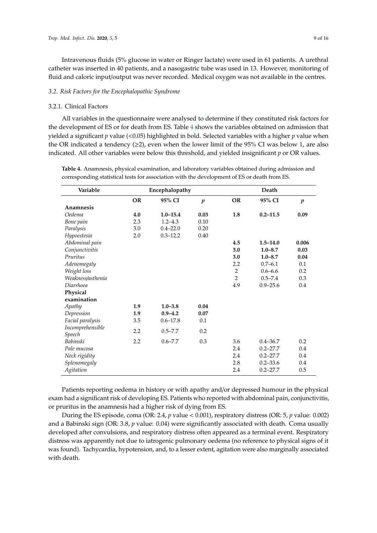Intravenous fluids (5% glucose in water or Ringer lactate) were used in 61 patients. A urethral catheter was inserted in 40 patients, and a nasogastric tube was used in 13. However, monitoring of fluid and caloric input/output was never recorded. Medical oxygen was not available in the centres.

#### *3.2. Risk Factors for the Encephalopathic Syndrome*

# 3.2.1. Clinical Factors

All variables in the questionnaire were analysed to determine if they constituted risk factors for the development of ES or for death from ES. Table [4](#page-8-0) shows the variables obtained on admission that yielded a significant *p* value (<0.05) highlighted in bold. Selected variables with a higher *p* value when the OR indicated a tendency  $(\geq 2)$ , even when the lower limit of the 95% CI was below 1, are also indicated. All other variables were below this threshold, and yielded insignificant *p* or OR values.

<span id="page-8-0"></span>**Table 4.** Anamnesis, physical examination, and laboratory variables obtained during admission and

corresponding statistical tests for association with the development of ES or death from ES. **Variable Encephalopathy Death OR 95% CI** *p* **OR 95% CI** *p* **Anamnesis** *Oedema* **4.0 1.0–15.4 0.03 1.8 0.2–11.5 0.09** *Bone pain* 2.3 1.2–4.3 0.10

| Ocucinu           | I.V | 1.V 19.I     | ບ∙ບ∪ | ⊥∙∪            | - 프로8년       | v.v.    |
|-------------------|-----|--------------|------|----------------|--------------|---------|
| Bone pain         | 2.3 | $1.2 - 4.3$  | 0.10 |                |              |         |
| Paralysis         | 3.0 | $0.4 - 22.0$ | 0.20 |                |              |         |
| Hypoestesia       | 2.0 | $0.3 - 12.2$ | 0.40 |                |              |         |
| Abdominal pain    |     |              |      | 4.5            | $1.5 - 14.0$ | 0.006   |
| Conjunctivitis    |     |              |      | 3.0            | $1.0 - 8.7$  | 0.03    |
| Pruritus          |     |              |      | 3.0            | $1.0 - 8.7$  | 0.04    |
| Adenomegaly       |     |              |      | 2.2            | $0.7 - 6.1$  | 0.1     |
| Weight loss       |     |              |      | $\overline{2}$ | $0.6 - 6.6$  | 0.2     |
| Weakness/asthenia |     |              |      | $\overline{2}$ | $0.5 - 7.4$  | 0.3     |
| Diarrhoea         |     |              |      | 4.9            | $0.9 - 25.6$ | 0.4     |
| Physical          |     |              |      |                |              |         |
| examination       |     |              |      |                |              |         |
| Apathy            | 1.9 | $1.0 - 3.8$  | 0.04 |                |              |         |
| Depression        | 1.9 | $0.9 - 4.2$  | 0.07 |                |              |         |
| Facial paralysis  | 3.5 | $0.6 - 17.8$ | 0.1  |                |              |         |
| Incomprehensible  | 2.2 | $0.5 - 7.7$  | 0.2  |                |              |         |
| Speech            |     |              |      |                |              |         |
| Babinski          | 2.2 | $0.6 - 7.7$  | 0.3  | 3.6            | $0.4 - 36.7$ | 0.2     |
| Pale mucosa       |     |              |      | 2.4            | $0.2 - 27.7$ | $0.4\,$ |
| Neck rigidity     |     |              |      | 2.4            | $0.2 - 27.7$ | $0.4\,$ |
| Splenomegaly      |     |              |      | 2.8            | $0.2 - 33.6$ | 0.4     |
| Agitation         |     |              |      | 2.4            | $0.2 - 27.7$ | 0.5     |
|                   |     |              |      |                |              |         |

Patients reporting oedema in history or with apathy and/or depressed humour in the physical exam had a significant risk of developing ES. Patients who reported with abdominal pain, conjunctivitis, or pruritus in the anamnesis had a higher risk of dying from ES.

During the ES episode, coma (OR: 2.4, *p* value < 0.001), respiratory distress (OR: 5, *p* value: 0.002) and a Babinski sign (OR: 3.8, *p* value: 0.04) were significantly associated with death. Coma usually developed after convulsions, and respiratory distress often appeared as a terminal event. Respiratory distress was apparently not due to iatrogenic pulmonary oedema (no reference to physical signs of it was found). Tachycardia, hypotension, and, to a lesser extent, agitation were also marginally associated with death.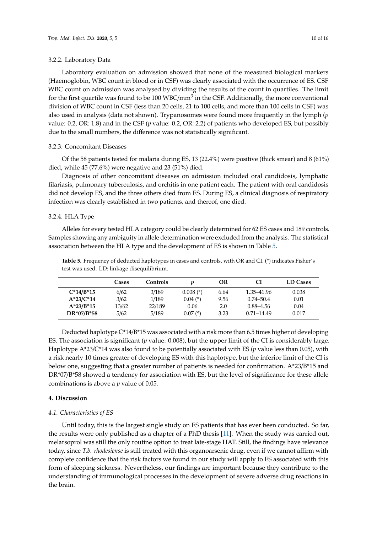# 3.2.2. Laboratory Data

Laboratory evaluation on admission showed that none of the measured biological markers (Haemoglobin, WBC count in blood or in CSF) was clearly associated with the occurrence of ES. CSF WBC count on admission was analysed by dividing the results of the count in quartiles. The limit for the first quartile was found to be 100 WBC/mm<sup>3</sup> in the CSF. Additionally, the more conventional division of WBC count in CSF (less than 20 cells, 21 to 100 cells, and more than 100 cells in CSF) was also used in analysis (data not shown). Trypanosomes were found more frequently in the lymph (*p* value: 0.2, OR: 1.8) and in the CSF (*p* value: 0.2, OR: 2.2) of patients who developed ES, but possibly due to the small numbers, the difference was not statistically significant.

#### 3.2.3. Concomitant Diseases

Of the 58 patients tested for malaria during ES, 13 (22.4%) were positive (thick smear) and 8 (61%) died, while 45 (77.6%) were negative and 23 (51%) died.

Diagnosis of other concomitant diseases on admission included oral candidosis, lymphatic filariasis, pulmonary tuberculosis, and orchitis in one patient each. The patient with oral candidosis did not develop ES, and the three others died from ES. During ES, a clinical diagnosis of respiratory infection was clearly established in two patients, and thereof, one died.

#### 3.2.4. HLA Type

Alleles for every tested HLA category could be clearly determined for 62 ES cases and 189 controls. Samples showing any ambiguity in allele determination were excluded from the analysis. The statistical association between the HLA type and the development of ES is shown in Table [5.](#page-9-0)

<span id="page-9-0"></span>**Table 5.** Frequency of deducted haplotypes in cases and controls, with OR and CI. (\*) indicates Fisher's test was used. LD: linkage disequilibrium.

|               | Cases | Controls |              | OR   |               | LD Cases |
|---------------|-------|----------|--------------|------|---------------|----------|
| $C^*14/B^*15$ | 6/62  | 3/189    | $0.008$ (*)  | 6.64 | 1.35–41.96    | 0.038    |
| $A*23/C*14$   | 3/62  | 1/189    | $0.04$ (*)   | 9.56 | $0.74 - 50.4$ | 0.01     |
| $A*23/B*15$   | 13/62 | 22/189   | 0.06         | 2.0  | $0.88 - 4.56$ | 0.04     |
| $DR*07/B*58$  | 5/62  | 5/189    | $0.07$ $(*)$ | 3.23 | 0.71–14.49    | 0.017    |

Deducted haplotype  $C^*14/B^*15$  was associated with a risk more than 6.5 times higher of developing ES. The association is significant (*p* value: 0.008), but the upper limit of the CI is considerably large. Haplotype A\*23/C\*14 was also found to be potentially associated with ES (*p* value less than 0.05), with a risk nearly 10 times greater of developing ES with this haplotype, but the inferior limit of the CI is below one, suggesting that a greater number of patients is needed for confirmation. A\*23/B\*15 and DR\*07/B\*58 showed a tendency for association with ES, but the level of significance for these allele combinations is above a *p* value of 0.05.

#### **4. Discussion**

# *4.1. Characteristics of ES*

Until today, this is the largest single study on ES patients that has ever been conducted. So far, the results were only published as a chapter of a PhD thesis [\[11\]](#page-13-10). When the study was carried out, melarsoprol was still the only routine option to treat late-stage HAT. Still, the findings have relevance today, since *T.b. rhodesiense* is still treated with this organoarsenic drug, even if we cannot affirm with complete confidence that the risk factors we found in our study will apply to ES associated with this form of sleeping sickness. Nevertheless, our findings are important because they contribute to the understanding of immunological processes in the development of severe adverse drug reactions in the brain.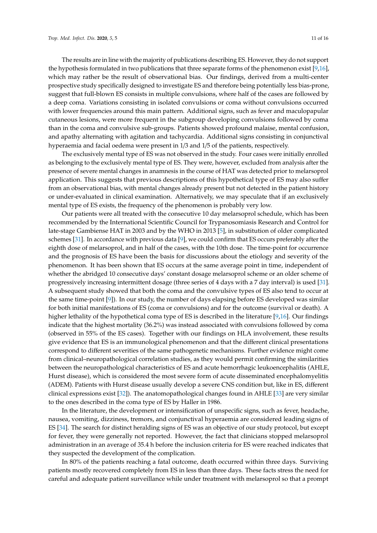The results are in line with the majority of publications describing ES. However, they do not support the hypothesis formulated in two publications that three separate forms of the phenomenon exist [\[9](#page-13-8)[,16\]](#page-13-13), which may rather be the result of observational bias. Our findings, derived from a multi-center prospective study specifically designed to investigate ES and therefore being potentially less bias-prone, suggest that full-blown ES consists in multiple convulsions, where half of the cases are followed by a deep coma. Variations consisting in isolated convulsions or coma without convulsions occurred with lower frequencies around this main pattern. Additional signs, such as fever and maculopapular cutaneous lesions, were more frequent in the subgroup developing convulsions followed by coma than in the coma and convulsive sub-groups. Patients showed profound malaise, mental confusion, and apathy alternating with agitation and tachycardia. Additional signs consisting in conjunctival hyperaemia and facial oedema were present in 1/3 and 1/5 of the patients, respectively.

The exclusively mental type of ES was not observed in the study. Four cases were initially enrolled as belonging to the exclusively mental type of ES. They were, however, excluded from analysis after the presence of severe mental changes in anamnesis in the course of HAT was detected prior to melarsoprol application. This suggests that previous descriptions of this hypothetical type of ES may also suffer from an observational bias, with mental changes already present but not detected in the patient history or under-evaluated in clinical examination. Alternatively, we may speculate that if an exclusively mental type of ES exists, the frequency of the phenomenon is probably very low.

Our patients were all treated with the consecutive 10 day melarsoprol schedule, which has been recommended by the International Scientific Council for Trypanosomiasis Research and Control for late-stage Gambiense HAT in 2003 and by the WHO in 2013 [\[5\]](#page-13-4), in substitution of older complicated schemes [\[31\]](#page-14-10). In accordance with previous data [\[9\]](#page-13-8), we could confirm that ES occurs preferably after the eighth dose of melarsoprol, and in half of the cases, with the 10th dose. The time-point for occurrence and the prognosis of ES have been the basis for discussions about the etiology and severity of the phenomenon. It has been shown that ES occurs at the same average point in time, independent of whether the abridged 10 consecutive days' constant dosage melarsoprol scheme or an older scheme of progressively increasing intermittent dosage (three series of 4 days with a 7 day interval) is used [\[31\]](#page-14-10). A subsequent study showed that both the coma and the convulsive types of ES also tend to occur at the same time-point [\[9\]](#page-13-8)). In our study, the number of days elapsing before ES developed was similar for both initial manifestations of ES (coma or convulsions) and for the outcome (survival or death). A higher lethality of the hypothetical coma type of ES is described in the literature [\[9,](#page-13-8)[16\]](#page-13-13). Our findings indicate that the highest mortality (36.2%) was instead associated with convulsions followed by coma (observed in 55% of the ES cases). Together with our findings on HLA involvement, these results give evidence that ES is an immunological phenomenon and that the different clinical presentations correspond to different severities of the same pathogenetic mechanisms. Further evidence might come from clinical–neuropathological correlation studies, as they would permit confirming the similarities between the neuropathological characteristics of ES and acute hemorrhagic leukoencephalitis (AHLE, Hurst disease), which is considered the most severe form of acute disseminated encephalomyelitis (ADEM). Patients with Hurst disease usually develop a severe CNS condition but, like in ES, different clinical expressions exist  $[32]$ ). The anatomopathological changes found in AHLE  $[33]$  are very similar to the ones described in the coma type of ES by Haller in 1986.

In the literature, the development or intensification of unspecific signs, such as fever, headache, nausea, vomiting, dizziness, tremors, and conjunctival hyperaemia are considered leading signs of ES [\[34\]](#page-14-13). The search for distinct heralding signs of ES was an objective of our study protocol, but except for fever, they were generally not reported. However, the fact that clinicians stopped melarsoprol administration in an average of 35.4 h before the inclusion criteria for ES were reached indicates that they suspected the development of the complication.

In 80% of the patients reaching a fatal outcome, death occurred within three days. Surviving patients mostly recovered completely from ES in less than three days. These facts stress the need for careful and adequate patient surveillance while under treatment with melarsoprol so that a prompt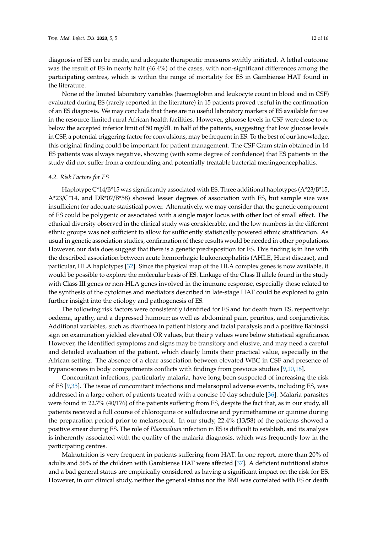diagnosis of ES can be made, and adequate therapeutic measures swiftly initiated. A lethal outcome was the result of ES in nearly half (46.4%) of the cases, with non-significant differences among the participating centres, which is within the range of mortality for ES in Gambiense HAT found in the literature.

None of the limited laboratory variables (haemoglobin and leukocyte count in blood and in CSF) evaluated during ES (rarely reported in the literature) in 15 patients proved useful in the confirmation of an ES diagnosis. We may conclude that there are no useful laboratory markers of ES available for use in the resource-limited rural African health facilities. However, glucose levels in CSF were close to or below the accepted inferior limit of 50 mg/dL in half of the patients, suggesting that low glucose levels in CSF, a potential triggering factor for convulsions, may be frequent in ES. To the best of our knowledge, this original finding could be important for patient management. The CSF Gram stain obtained in 14 ES patients was always negative, showing (with some degree of confidence) that ES patients in the study did not suffer from a confounding and potentially treatable bacterial meningoencephalitis.

#### *4.2. Risk Factors for ES*

Haplotype  $C^*14/B^*15$  was significantly associated with ES. Three additional haplotypes  $(A^*23/B^*15,$ A\*23/C\*14, and DR\*07/B\*58) showed lesser degrees of association with ES, but sample size was insufficient for adequate statistical power. Alternatively, we may consider that the genetic component of ES could be polygenic or associated with a single major locus with other loci of small effect. The ethnical diversity observed in the clinical study was considerable, and the low numbers in the different ethnic groups was not sufficient to allow for sufficiently statistically powered ethnic stratification. As usual in genetic association studies, confirmation of these results would be needed in other populations. However, our data does suggest that there is a genetic predisposition for ES. This finding is in line with the described association between acute hemorrhagic leukoencephalitis (AHLE, Hurst disease), and particular, HLA haplotypes [\[32\]](#page-14-11). Since the physical map of the HLA complex genes is now available, it would be possible to explore the molecular basis of ES. Linkage of the Class II allele found in the study with Class III genes or non-HLA genes involved in the immune response, especially those related to the synthesis of the cytokines and mediators described in late-stage HAT could be explored to gain further insight into the etiology and pathogenesis of ES.

The following risk factors were consistently identified for ES and for death from ES, respectively: oedema, apathy, and a depressed humour; as well as abdominal pain, pruritus, and conjunctivitis. Additional variables, such as diarrhoea in patient history and facial paralysis and a positive Babinski sign on examination yielded elevated OR values, but their *p* values were below statistical significance. However, the identified symptoms and signs may be transitory and elusive, and may need a careful and detailed evaluation of the patient, which clearly limits their practical value, especially in the African setting. The absence of a clear association between elevated WBC in CSF and presence of trypanosomes in body compartments conflicts with findings from previous studies [\[9,](#page-13-8)[10,](#page-13-9)[18\]](#page-14-1).

Concomitant infections, particularly malaria, have long been suspected of increasing the risk of ES [\[9](#page-13-8)[,35\]](#page-14-14). The issue of concomitant infections and melarsoprol adverse events, including ES, was addressed in a large cohort of patients treated with a concise 10 day schedule [\[36\]](#page-14-15). Malaria parasites were found in 22.7% (40/176) of the patients suffering from ES, despite the fact that, as in our study, all patients received a full course of chloroquine or sulfadoxine and pyrimethamine or quinine during the preparation period prior to melarsoprol. In our study, 22.4% (13/58) of the patients showed a positive smear during ES. The role of *Plasmodium* infection in ES is difficult to establish, and its analysis is inherently associated with the quality of the malaria diagnosis, which was frequently low in the participating centres.

Malnutrition is very frequent in patients suffering from HAT. In one report, more than 20% of adults and 56% of the children with Gambiense HAT were affected [\[37\]](#page-14-16). A deficient nutritional status and a bad general status are empirically considered as having a significant impact on the risk for ES. However, in our clinical study, neither the general status nor the BMI was correlated with ES or death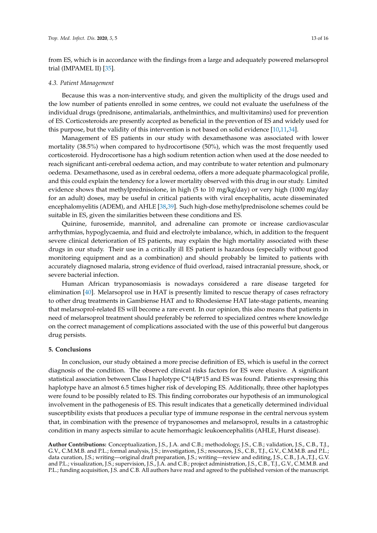from ES, which is in accordance with the findings from a large and adequately powered melarsoprol trial (IMPAMEL II) [\[35\]](#page-14-14).

#### *4.3. Patient Management*

Because this was a non-interventive study, and given the multiplicity of the drugs used and the low number of patients enrolled in some centres, we could not evaluate the usefulness of the individual drugs (prednisone, antimalarials, anthelminthics, and multivitamins) used for prevention of ES. Corticosteroids are presently accepted as beneficial in the prevention of ES and widely used for this purpose, but the validity of this intervention is not based on solid evidence [\[10,](#page-13-9)[11,](#page-13-10)[34\]](#page-14-13).

Management of ES patients in our study with dexamethasone was associated with lower mortality (38.5%) when compared to hydrocortisone (50%), which was the most frequently used corticosteroid. Hydrocortisone has a high sodium retention action when used at the dose needed to reach significant anti-cerebral oedema action, and may contribute to water retention and pulmonary oedema. Dexamethasone, used as in cerebral oedema, offers a more adequate pharmacological profile, and this could explain the tendency for a lower mortality observed with this drug in our study. Limited evidence shows that methylprednisolone, in high (5 to 10 mg/kg/day) or very high (1000 mg/day for an adult) doses, may be useful in critical patients with viral encephalitis, acute disseminated encephalomyelitis (ADEM), and AHLE [\[38,](#page-15-0)[39\]](#page-15-1). Such high-dose methylprednisolone schemes could be suitable in ES, given the similarities between these conditions and ES.

Quinine, furosemide, mannitol, and adrenaline can promote or increase cardiovascular arrhythmias, hypoglycaemia, and fluid and electrolyte imbalance, which, in addition to the frequent severe clinical deterioration of ES patients, may explain the high mortality associated with these drugs in our study. Their use in a critically ill ES patient is hazardous (especially without good monitoring equipment and as a combination) and should probably be limited to patients with accurately diagnosed malaria, strong evidence of fluid overload, raised intracranial pressure, shock, or severe bacterial infection.

Human African trypanosomiasis is nowadays considered a rare disease targeted for elimination [\[40\]](#page-15-2). Melarsoprol use in HAT is presently limited to rescue therapy of cases refractory to other drug treatments in Gambiense HAT and to Rhodesiense HAT late-stage patients, meaning that melarsoprol-related ES will become a rare event. In our opinion, this also means that patients in need of melarsoprol treatment should preferably be referred to specialized centres where knowledge on the correct management of complications associated with the use of this powerful but dangerous drug persists.

### **5. Conclusions**

In conclusion, our study obtained a more precise definition of ES, which is useful in the correct diagnosis of the condition. The observed clinical risks factors for ES were elusive. A significant statistical association between Class I haplotype C\*14/B\*15 and ES was found. Patients expressing this haplotype have an almost 6.5 times higher risk of developing ES. Additionally, three other haplotypes were found to be possibly related to ES. This finding corroborates our hypothesis of an immunological involvement in the pathogenesis of ES. This result indicates that a genetically determined individual susceptibility exists that produces a peculiar type of immune response in the central nervous system that, in combination with the presence of trypanosomes and melarsoprol, results in a catastrophic condition in many aspects similar to acute hemorrhagic leukoencephalitis (AHLE, Hurst disease).

**Author Contributions:** Conceptualization, J.S., J.A. and C.B.; methodology, J.S., C.B.; validation, J.S., C.B., T.J., G.V., C.M.M.B. and P.L.; formal analysis, J.S.; investigation, J.S.; resources, J.S., C.B., T.J., G.V., C.M.M.B. and P.L.; data curation, J.S.; writing—original draft preparation, J.S.; writing—review and editing, J.S., C.B., J.A.,T.J., G.V. and P.L.; visualization, J.S.; supervision, J.S., J.A. and C.B.; project administration, J.S., C.B., T.J., G.V., C.M.M.B. and P.L.; funding acquisition, J.S. and C.B. All authors have read and agreed to the published version of the manuscript.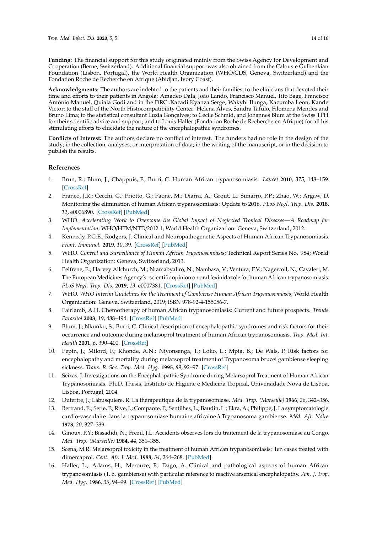**Funding:** The financial support for this study originated mainly from the Swiss Agency for Development and Cooperation (Berne, Switzerland). Additional financial support was also obtained from the Calouste Gulbenkian Foundation (Lisbon, Portugal), the World Health Organization (WHO/CDS, Geneva, Switzerland) and the Fondation Roche de Recherche en Afrique (Abidjan, Ivory Coast).

**Acknowledgments:** The authors are indebted to the patients and their families, to the clinicians that devoted their time and efforts to their patients in Angola: Amadeo Dala, João Lando, Francisco Manuel, Tito Bage, Francisco António Manuel, Quiala Godi and in the DRC:.Kazadi Kyanza Serge, Wakyhi Ilunga, Kazumba Leon, Kande Victor; to the staff of the North Histocompatibility Center: Helena Alves, Sandra Tafulo, Filomena Mendes and Bruno Lima; to the statistical consultant Luzia Gonçalves; to Cecile Schmid, and Johannes Blum at the Swiss TPH for their scientific advice and support; and to Louis Haller (Fondation Roche de Recherche en Afrique) for all his stimulating efforts to elucidate the nature of the encephalopathic syndromes.

**Conflicts of Interest:** The authors declare no conflict of interest. The funders had no role in the design of the study; in the collection, analyses, or interpretation of data; in the writing of the manuscript, or in the decision to publish the results.

# **References**

- <span id="page-13-0"></span>1. Brun, R.; Blum, J.; Chappuis, F.; Burri, C. Human African trypanosomiasis. *Lancet* **2010**, *375*, 148–159. [\[CrossRef\]](http://dx.doi.org/10.1016/S0140-6736(09)60829-1)
- <span id="page-13-1"></span>2. Franco, J.R.; Cecchi, G.; Priotto, G.; Paone, M.; Diarra, A.; Grout, L.; Simarro, P.P.; Zhao, W.; Argaw, D. Monitoring the elimination of human African trypanosomiasis: Update to 2016. *PLoS Negl. Trop. Dis.* **2018**, *12*, e0006890. [\[CrossRef\]](http://dx.doi.org/10.1371/journal.pntd.0006890) [\[PubMed\]](http://www.ncbi.nlm.nih.gov/pubmed/30521525)
- <span id="page-13-2"></span>3. WHO. *Accelerating Work to Overcome the Global Impact of Neglected Tropical Diseases—A Roadmap for Implementation*; WHO/HTM/NTD/2012.1; World Health Organization: Geneva, Switzerland, 2012.
- <span id="page-13-3"></span>4. Kennedy, P.G.E.; Rodgers, J. Clinical and Neuropathogenetic Aspects of Human African Trypanosomiasis. *Front. Immunol.* **2019**, *10*, 39. [\[CrossRef\]](http://dx.doi.org/10.3389/fimmu.2019.00039) [\[PubMed\]](http://www.ncbi.nlm.nih.gov/pubmed/30740102)
- <span id="page-13-4"></span>5. WHO. *Control and Surveillance of Human African Trypanosomiasis*; Technical Report Series No. 984; World Health Organization: Geneva, Switzerland, 2013.
- <span id="page-13-5"></span>6. Pelfrene, E.; Harvey Allchurch, M.; Ntamabyaliro, N.; Nambasa, V.; Ventura, F.V.; Nagercoil, N.; Cavaleri, M. The European Medicines Agency's. scientific opinion on oral fexinidazole for human African trypanosomiasis. *PLoS Negl. Trop. Dis.* **2019**, *13*, e0007381. [\[CrossRef\]](http://dx.doi.org/10.1371/journal.pntd.0007381) [\[PubMed\]](http://www.ncbi.nlm.nih.gov/pubmed/31246956)
- <span id="page-13-6"></span>7. WHO. *WHO Interim Guidelines for the Treatment of Gambiense Human African Trypanosomiasis*; World Health Organization: Geneva, Switzerland, 2019; ISBN 978-92-4-155056-7.
- <span id="page-13-7"></span>8. Fairlamb, A.H. Chemotherapy of human African trypanosomiasis: Current and future prospects. *Trends Parasitol* **2003**, *19*, 488–494. [\[CrossRef\]](http://dx.doi.org/10.1016/j.pt.2003.09.002) [\[PubMed\]](http://www.ncbi.nlm.nih.gov/pubmed/14580959)
- <span id="page-13-8"></span>9. Blum, J.; Nkunku, S.; Burri, C. Clinical description of encephalopathic syndromes and risk factors for their occurrence and outcome during melarsoprol treatment of human African trypanosomiasis. *Trop. Med. Int. Health* **2001**, *6*, 390–400. [\[CrossRef\]](http://dx.doi.org/10.1046/j.1365-3156.2001.00710.x)
- <span id="page-13-9"></span>10. Pepin, J.; Milord, F.; Khonde, A.N.; Niyonsenga, T.; Loko, L.; Mpia, B.; De Wals, P. Risk factors for encephalopathy and mortality during melarsoprol treatment of Trypanosoma brucei gambiense sleeping sickness. *Trans. R. Soc. Trop. Med. Hyg.* **1995**, *89*, 92–97. [\[CrossRef\]](http://dx.doi.org/10.1016/0035-9203(95)90673-8)
- <span id="page-13-10"></span>11. Seixas, J. Investigations on the Encephalopathic Syndrome during Melarsoprol Treatment of Human African Trypanosomiasis. Ph.D. Thesis, Instituto de Higiene e Medicina Tropical, Universidade Nova de Lisboa, Lisboa, Portugal, 2004.
- <span id="page-13-11"></span>12. Dutertre, J.; Labusquiere, R. La thérapeutique de la trypanosomiase. *Méd. Trop. (Marseille)* **1966**, *26*, 342–356.
- 13. Bertrand, E.; Serie, F.; Rive, J.; Compaore, P.; Sentilhes, L.; Baudin, L.; Ekra, A.; Philippe, J. La symptomatologie cardio-vasculaire dans la trypanosomiase humaine africaine à Trypanosoma gambiense. *Méd. Afr. Noire* **1973**, *20*, 327–339.
- 14. Ginoux, P.Y.; Bissadidi, N.; Frezil, J.L. Accidents observes lors du traitement de la trypanosomiase au Congo. *Méd. Trop. (Marseille)* **1984**, *44*, 351–355.
- <span id="page-13-12"></span>15. Scena, M.R. Melarsoprol toxicity in the treatment of human African trypanosomiasis: Ten cases treated with dimercaprol. *Cent. Afr. J. Med.* **1988**, *34*, 264–268. [\[PubMed\]](http://www.ncbi.nlm.nih.gov/pubmed/3252975)
- <span id="page-13-13"></span>16. Haller, L.; Adams, H.; Merouze, F.; Dago, A. Clinical and pathological aspects of human African trypanosomiasis (T. b. gambiense) with particular reference to reactive arsenical encephalopathy. *Am. J. Trop. Med. Hyg.* **1986**, *35*, 94–99. [\[CrossRef\]](http://dx.doi.org/10.4269/ajtmh.1986.35.94) [\[PubMed\]](http://www.ncbi.nlm.nih.gov/pubmed/3946740)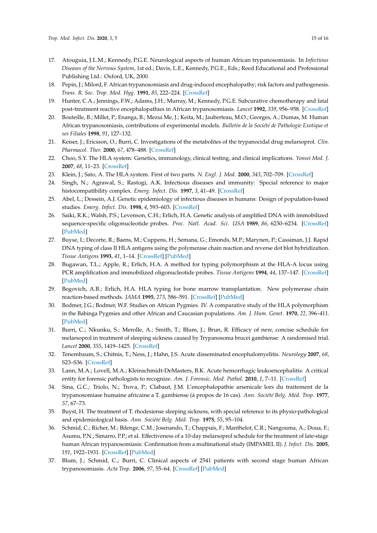- <span id="page-14-0"></span>17. Atouguia, J.L.M.; Kennedy, P.G.E. Neurological aspects of human African trypanosomiasis. In *Infectious Diseases of the Nervous System*, 1st ed.; Davis, L.E., Kennedy, P.G.E., Eds.; Reed Educational and Professional Publishing Ltd.: Oxford, UK, 2000.
- <span id="page-14-1"></span>18. Pepin, J.; Milord, F. African trypanosomiasis and drug-induced encephalopathy; risk factors and pathogenesis. *Trans. R. Soc. Trop. Med. Hyg.* **1991**, *85*, 222–224. [\[CrossRef\]](http://dx.doi.org/10.1016/0035-9203(91)90032-T)
- 19. Hunter, C.A.; Jennings, F.W.; Adams, J.H.; Murray, M.; Kennedy, P.G.E. Subcurative chemotherapy and fatal post-treatment reactive encephalopathies in African trypanosomiasis. *Lancet* **1992**, *339*, 956–958. [\[CrossRef\]](http://dx.doi.org/10.1016/0140-6736(92)91531-C)
- 20. Bouteille, B.; Millet, P.; Enanga, B.; Mezui Me, J.; Keita, M.; Jauberteau, M.O.; Georges, A.; Dumas, M. Human African trypanosomiasis, contributions of experimental models. *Bulletin de la Société de Pathologie Exotique et ses Filiales* **1998**, *91*, 127–132.
- <span id="page-14-2"></span>21. Keiser, J.; Ericsson, O.; Burri, C. Investigations of the metabolites of the trypanocidal drug melarsoprol. *Clin. Pharmacol. Ther.* **2000**, *67*, 478–488. [\[CrossRef\]](http://dx.doi.org/10.1067/mcp.2000.105990)
- <span id="page-14-3"></span>22. Choo, S.Y. The HLA system: Genetics, immunology, clinical testing, and clinical implications. *Yonsei Med. J.* **2007**, *48*, 11–23. [\[CrossRef\]](http://dx.doi.org/10.3349/ymj.2007.48.1.11)
- <span id="page-14-4"></span>23. Klein, J.; Sato, A. The HLA system. First of two parts. *N. Engl. J. Med.* **2000**, *343*, 702–709. [\[CrossRef\]](http://dx.doi.org/10.1056/NEJM200009073431006)
- <span id="page-14-5"></span>24. Singh, N.; Agrawal, S.; Rastogi, A.K. Infectious diseases and immunity: Special reference to major histocompatibility complex. *Emerg. Infect. Dis.* **1997**, *3*, 41–49. [\[CrossRef\]](http://dx.doi.org/10.3201/eid0301.970105)
- <span id="page-14-6"></span>25. Abel, L.; Dessein, A.J. Genetic epidemiology of infectious diseases in humans: Design of population-based studies. *Emerg. Infect. Dis.* **1998**, *4*, 593–603. [\[CrossRef\]](http://dx.doi.org/10.3201/eid0404.980409)
- <span id="page-14-7"></span>26. Saiki, R.K.; Walsh, P.S.; Levenson, C.H.; Erlich, H.A. Genetic analysis of amplified DNA with immobilized sequence-specific oligonucleotide probes. *Proc. Natl. Acad. Sci. USA* **1989**, *86*, 6230–6234. [\[CrossRef\]](http://dx.doi.org/10.1073/pnas.86.16.6230) [\[PubMed\]](http://www.ncbi.nlm.nih.gov/pubmed/2762325)
- 27. Buyse, I.; Decorte, R.; Baens, M.; Cuppens, H.; Semana, G.; Emonds, M.P.; Marynen, P.; Cassiman, J.J. Rapid DNA typing of class II HLA antigens using the polymerase chain reaction and reverse dot blot hybridization. *Tissue Antigens* **1993**, *41*, 1–14. [\[CrossRef\]](http://dx.doi.org/10.1111/j.1399-0039.1993.tb01970.x) [\[PubMed\]](http://www.ncbi.nlm.nih.gov/pubmed/8456438)
- 28. Bugawan, T.L.; Apple, R.; Erlich, H.A. A method for typing polymorphism at the HLA-A locus using PCR amplification and immobilized oligonucleotide probes. *Tissue Antigens* **1994**, *44*, 137–147. [\[CrossRef\]](http://dx.doi.org/10.1111/j.1399-0039.1994.tb02371.x) [\[PubMed\]](http://www.ncbi.nlm.nih.gov/pubmed/7839345)
- <span id="page-14-8"></span>29. Begovich, A.B.; Erlich, H.A. HLA typing for bone marrow transplantation. New polymerase chain reaction-based methods. *JAMA* **1995**, *273*, 586–591. [\[CrossRef\]](http://dx.doi.org/10.1001/jama.1995.03520310084034) [\[PubMed\]](http://www.ncbi.nlm.nih.gov/pubmed/7837393)
- <span id="page-14-9"></span>30. Bodmer, J.G.; Bodmer, W.F. Studies on African Pygmies. IV. A comparative study of the HLA polymorphism in the Babinga Pygmies and other African and Caucasian populations. *Am. J. Hum. Genet.* **1970**, *22*, 396–411. [\[PubMed\]](http://www.ncbi.nlm.nih.gov/pubmed/4194182)
- <span id="page-14-10"></span>31. Burri, C.; Nkunku, S.; Merolle, A.; Smith, T.; Blum, J.; Brun, R. Efficacy of new, concise schedule for melarsoprol in treatment of sleeping sickness caused by Trypanosoma brucei gambiense: A randomised trial. *Lancet* **2000**, *355*, 1419–1425. [\[CrossRef\]](http://dx.doi.org/10.1016/S0140-6736(00)02141-3)
- <span id="page-14-11"></span>32. Tenembaum, S.; Chitnis, T.; Ness, J.; Hahn, J.S. Acute disseminated encephalomyelitis. *Neurology* **2007**, *68*, S23–S36. [\[CrossRef\]](http://dx.doi.org/10.1212/01.wnl.0000259404.51352.7f)
- <span id="page-14-12"></span>33. Lann, M.A.; Lovell, M.A.; Kleinschmidt-DeMasters, B.K. Acute hemorrhagic leukoencephalitis: A critical entity for forensic pathologists to recognize. *Am. J. Forensic. Med. Pathol.* **2010**, *1*, 7–11. [\[CrossRef\]](http://dx.doi.org/10.1097/PAF.0b013e3181c6be92)
- <span id="page-14-13"></span>34. Sina, G.C.; Triolo, N.; Trova, P.; Clabaut, J.M. L'encephalopathie arsenicale lors du traitement de la trypanosomiase humaine africaine a T. gambiense (à propos de 16 cas). *Ann. Société Belg. Méd. Trop.* **1977**, *57*, 67–73.
- <span id="page-14-14"></span>35. Buyst, H. The treatment of T. rhodesiense sleeping sickness, with special reference to its physio-pathological and epidemiological basis. *Ann. Socièté Belg. Méd. Trop.* **1975**, *55*, 95–104.
- <span id="page-14-15"></span>36. Schmid, C.; Richer, M.; Bilenge, C.M.; Josenando, T.; Chappuis, F.; Manthelot, C.R.; Nangouma, A.; Doua, F.; Asumu, P.N.; Simarro, P.P.; et al. Effectiveness of a 10-day melarsoprol schedule for the treatment of late-stage human African trypanosomiasis: Confirmation from a multinational study (IMPAMEL II). *J. Infect. Dis.* **2005**, *191*, 1922–1931. [\[CrossRef\]](http://dx.doi.org/10.1086/429929) [\[PubMed\]](http://www.ncbi.nlm.nih.gov/pubmed/15871127)
- <span id="page-14-16"></span>37. Blum, J.; Schmid, C.; Burri, C. Clinical aspects of 2541 patients with second stage human African trypanosomiasis. *Acta Trop.* **2006**, *97*, 55–64. [\[CrossRef\]](http://dx.doi.org/10.1016/j.actatropica.2005.08.001) [\[PubMed\]](http://www.ncbi.nlm.nih.gov/pubmed/16157286)